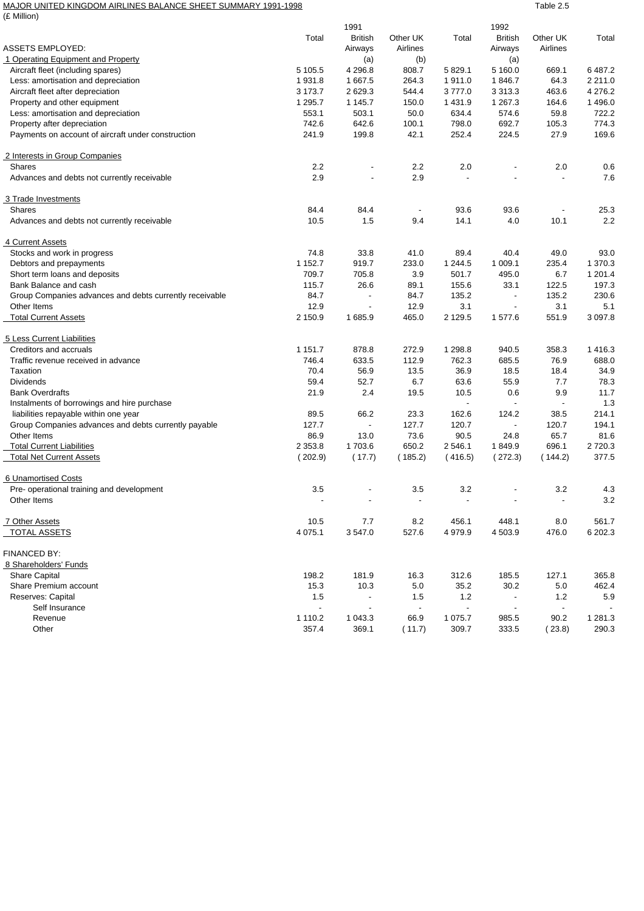## MAJOR UNITED KINGDOM AIRLINES BALANCE SHEET SUMMARY 1991-1998 TABLE 2.5

| (£ Million)                                                                       |                          |                          |                          |                          |                          |                          |                      |
|-----------------------------------------------------------------------------------|--------------------------|--------------------------|--------------------------|--------------------------|--------------------------|--------------------------|----------------------|
|                                                                                   |                          | 1991                     |                          |                          | 1992                     |                          |                      |
|                                                                                   | Total                    | <b>British</b>           | Other UK                 | Total                    | <b>British</b>           | Other UK                 | Total                |
| <b>ASSETS EMPLOYED:</b>                                                           |                          | Airways                  | Airlines                 |                          | Airways                  | Airlines                 |                      |
| 1 Operating Equipment and Property                                                |                          | (a)                      | (b)                      |                          | (a)                      |                          |                      |
| Aircraft fleet (including spares)                                                 | 5 105.5                  | 4 296.8                  | 808.7                    | 5 8 2 9 . 1              | 5 160.0                  | 669.1                    | 6487.2               |
| Less: amortisation and depreciation                                               | 1931.8                   | 1 667.5                  | 264.3                    | 1911.0                   | 1846.7                   | 64.3                     | 2 2 1 1 . 0          |
| Aircraft fleet after depreciation                                                 | 3 173.7                  | 2 6 2 9.3                | 544.4                    | 3777.0                   | 3 3 1 3 . 3              | 463.6                    | 4 276.2              |
| Property and other equipment                                                      | 1 295.7                  | 1 145.7                  | 150.0                    | 1 431.9                  | 1 267.3                  | 164.6                    | 1 4 9 6.0            |
| Less: amortisation and depreciation                                               | 553.1                    | 503.1                    | 50.0                     | 634.4                    | 574.6                    | 59.8                     | 722.2                |
| Property after depreciation<br>Payments on account of aircraft under construction | 742.6<br>241.9           | 642.6<br>199.8           | 100.1<br>42.1            | 798.0<br>252.4           | 692.7<br>224.5           | 105.3<br>27.9            | 774.3<br>169.6       |
| 2 Interests in Group Companies                                                    |                          |                          |                          |                          |                          |                          |                      |
| Shares                                                                            | 2.2                      |                          | 2.2                      | 2.0                      |                          | 2.0                      | 0.6                  |
| Advances and debts not currently receivable                                       | 2.9                      | ÷,                       | 2.9                      | $\ddot{\phantom{a}}$     |                          | $\blacksquare$           | 7.6                  |
| 3 Trade Investments                                                               |                          |                          |                          |                          |                          |                          |                      |
| Shares                                                                            | 84.4                     | 84.4                     |                          | 93.6                     | 93.6                     | $\overline{a}$           | 25.3                 |
| Advances and debts not currently receivable                                       | 10.5                     | 1.5                      | 9.4                      | 14.1                     | 4.0                      | 10.1                     | 2.2                  |
| 4 Current Assets                                                                  |                          |                          |                          |                          |                          |                          |                      |
| Stocks and work in progress                                                       | 74.8                     | 33.8                     | 41.0                     | 89.4                     | 40.4                     | 49.0                     | 93.0                 |
| Debtors and prepayments                                                           | 1 152.7                  | 919.7                    | 233.0                    | 1 244.5                  | 1 009.1                  | 235.4                    | 1 370.3              |
| Short term loans and deposits                                                     | 709.7                    | 705.8                    | 3.9                      | 501.7                    | 495.0                    | 6.7                      | 1 201.4              |
| Bank Balance and cash                                                             | 115.7                    | 26.6                     | 89.1                     | 155.6                    | 33.1                     | 122.5                    | 197.3                |
| Group Companies advances and debts currently receivable                           | 84.7                     | $\blacksquare$           | 84.7                     | 135.2                    | $\overline{\phantom{a}}$ | 135.2                    | 230.6                |
| Other Items                                                                       | 12.9                     | $\blacksquare$           | 12.9                     | 3.1                      | $\blacksquare$           | 3.1                      | 5.1                  |
| <b>Total Current Assets</b>                                                       | 2 150.9                  | 1685.9                   | 465.0                    | 2 1 2 9.5                | 1 577.6                  | 551.9                    | 3 0 9 7.8            |
| 5 Less Current Liabilities                                                        |                          |                          |                          |                          |                          |                          |                      |
| Creditors and accruals                                                            | 1 1 5 1 . 7              | 878.8                    | 272.9                    | 1 2 9 8.8                | 940.5                    | 358.3                    | 1416.3               |
| Traffic revenue received in advance                                               | 746.4                    | 633.5                    | 112.9                    | 762.3                    | 685.5                    | 76.9                     | 688.0                |
| Taxation                                                                          | 70.4                     | 56.9                     | 13.5                     | 36.9                     | 18.5                     | 18.4                     | 34.9                 |
| <b>Dividends</b>                                                                  | 59.4                     | 52.7                     | 6.7                      | 63.6                     | 55.9                     | 7.7                      | 78.3                 |
| <b>Bank Overdrafts</b>                                                            | 21.9                     | 2.4                      | 19.5                     | 10.5                     | 0.6                      | 9.9                      | 11.7                 |
| Instalments of borrowings and hire purchase                                       |                          |                          |                          | $\blacksquare$           | $\blacksquare$           | $\overline{\phantom{a}}$ | 1.3                  |
| liabilities repayable within one year                                             | 89.5                     | 66.2                     | 23.3                     | 162.6                    | 124.2                    | 38.5                     | 214.1                |
| Group Companies advances and debts currently payable                              | 127.7                    | $\blacksquare$           | 127.7                    | 120.7                    | $\overline{\phantom{a}}$ | 120.7                    | 194.1                |
| Other Items                                                                       | 86.9                     | 13.0                     | 73.6                     | 90.5                     | 24.8                     | 65.7                     | 81.6                 |
| <b>Total Current Liabilities</b>                                                  | 2 3 5 3.8                | 1703.6                   | 650.2                    | 2 546.1                  | 1849.9                   | 696.1                    | 2720.3               |
| <b>Total Net Current Assets</b>                                                   | (202.9)                  | (17.7)                   | (185.2)                  | (416.5)                  | (272.3)                  | (144.2)                  | 377.5                |
| 6 Unamortised Costs                                                               |                          |                          |                          |                          |                          |                          |                      |
| Pre- operational training and development                                         | 3.5                      | $\overline{a}$           | 3.5                      | 3.2                      | $\blacksquare$           | 3.2                      | 4.3                  |
| Other Items                                                                       | $\overline{\phantom{a}}$ | $\overline{\phantom{a}}$ | $\overline{\phantom{a}}$ |                          |                          | $\overline{\phantom{a}}$ | $3.2\,$              |
| 7 Other Assets                                                                    | 10.5                     | 7.7                      | 8.2                      | 456.1                    | 448.1                    | 8.0                      | 561.7                |
| <b>TOTAL ASSETS</b>                                                               | 4 0 7 5 . 1              | 3547.0                   | 527.6                    | 4 9 7 9.9                | 4 503.9                  | 476.0                    | 6 202.3              |
| FINANCED BY:                                                                      |                          |                          |                          |                          |                          |                          |                      |
| 8 Shareholders' Funds                                                             |                          |                          |                          |                          |                          |                          |                      |
| <b>Share Capital</b>                                                              | 198.2                    | 181.9                    | 16.3                     | 312.6                    | 185.5                    | 127.1                    | 365.8                |
| Share Premium account                                                             | 15.3                     | 10.3                     | 5.0                      | 35.2                     | 30.2                     | $5.0\,$                  | 462.4                |
| Reserves: Capital                                                                 | 1.5                      | $\overline{\phantom{a}}$ | 1.5                      | $1.2$                    | $\overline{\phantom{a}}$ | 1.2                      | 5.9                  |
| Self Insurance                                                                    | $\blacksquare$           | $\overline{\phantom{a}}$ | $\overline{\phantom{a}}$ | $\overline{\phantom{a}}$ |                          | $\overline{\phantom{a}}$ |                      |
| Revenue<br>Other                                                                  | 1 1 1 0 . 2<br>357.4     | 1 043.3<br>369.1         | 66.9<br>(11.7)           | 1 0 7 5 . 7<br>309.7     | 985.5<br>333.5           | 90.2<br>(23.8)           | 1 2 8 1 . 3<br>290.3 |
|                                                                                   |                          |                          |                          |                          |                          |                          |                      |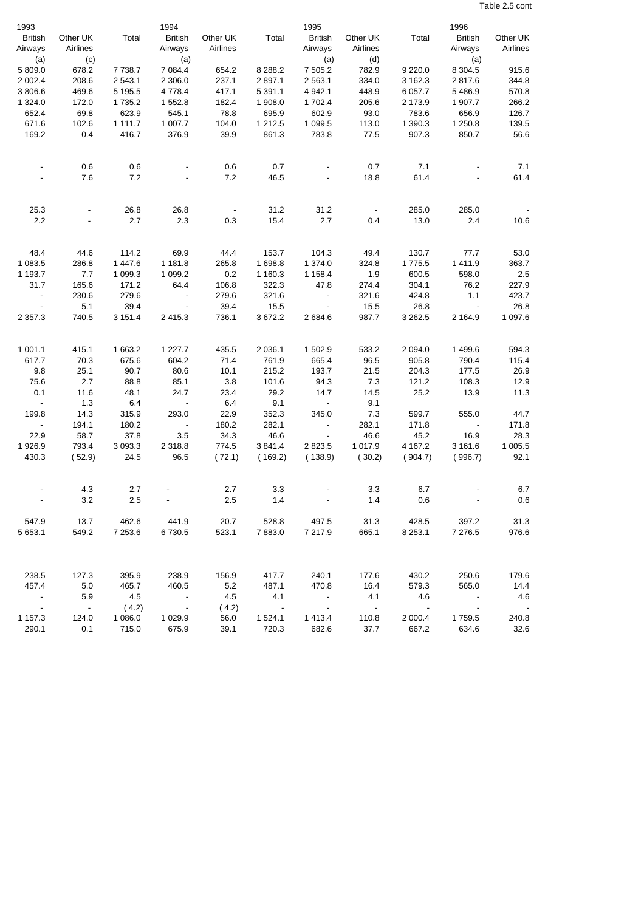Table 2.5 cont

| 1993                      |                      |               | 1994<br><b>British</b>   |                      |             | 1995                              |                      |                          | 1996                      |                          |
|---------------------------|----------------------|---------------|--------------------------|----------------------|-------------|-----------------------------------|----------------------|--------------------------|---------------------------|--------------------------|
| <b>British</b><br>Airways | Other UK<br>Airlines | Total         | Airways                  | Other UK<br>Airlines | Total       | <b>British</b><br>Airways         | Other UK<br>Airlines | Total                    | <b>British</b><br>Airways | Other UK<br>Airlines     |
| (a)                       | (c)                  |               | (a)                      |                      |             | (a)                               | (d)                  |                          | (a)                       |                          |
| 5 809.0                   | 678.2                | 7738.7        | 7 0 8 4.4                | 654.2                | 8 2 8 8.2   | 7 505.2                           | 782.9                | 9 2 2 0.0                | 8 3 0 4.5                 | 915.6                    |
| 2 0 0 2.4                 | 208.6                | 2543.1        | 2 3 0 6.0                | 237.1                | 2897.1      | 2 5 6 3.1                         | 334.0                | 3 162.3                  | 2817.6                    | 344.8                    |
| 3 806.6                   | 469.6                | 5 1 9 5.5     | 4 7 7 8 . 4              | 417.1                | 5 3 9 1 . 1 | 4 9 4 2.1                         | 448.9                | 6 0 57.7                 | 5 4 8 6.9                 | 570.8                    |
| 1 3 2 4 . 0               | 172.0                | 1735.2        | 1 552.8                  | 182.4                | 1 908.0     | 1702.4                            | 205.6                | 2 173.9                  | 1 907.7                   | 266.2                    |
| 652.4                     | 69.8                 | 623.9         | 545.1                    | 78.8                 | 695.9       | 602.9                             | 93.0                 | 783.6                    | 656.9                     | 126.7                    |
| 671.6                     | 102.6                | 1 1 1 1 . 7   | 1 007.7                  | 104.0                | 1 2 1 2.5   | 1 0 9 9.5                         | 113.0                | 1 390.3                  | 1 250.8                   | 139.5                    |
| 169.2                     | 0.4                  | 416.7         | 376.9                    | 39.9                 | 861.3       | 783.8                             | 77.5                 | 907.3                    | 850.7                     | 56.6                     |
|                           |                      |               |                          |                      |             |                                   |                      |                          |                           |                          |
|                           | 0.6                  | 0.6           |                          | 0.6                  | 0.7         |                                   | 0.7                  | 7.1                      |                           | 7.1                      |
|                           | 7.6                  | 7.2           |                          | 7.2                  | 46.5        |                                   | 18.8                 | 61.4                     |                           | 61.4                     |
| 25.3                      |                      | 26.8          | 26.8                     |                      | 31.2        | 31.2                              |                      | 285.0                    | 285.0                     |                          |
| 2.2                       |                      | 2.7           | 2.3                      | 0.3                  | 15.4        | 2.7                               | 0.4                  | 13.0                     | 2.4                       | 10.6                     |
|                           |                      |               |                          |                      |             |                                   |                      |                          |                           |                          |
| 48.4                      | 44.6                 | 114.2         | 69.9                     | 44.4                 | 153.7       | 104.3                             | 49.4                 | 130.7                    | 77.7                      | 53.0                     |
| 1 083.5                   | 286.8                | 1 4 4 7 .6    | 1 181.8                  | 265.8                | 1698.8      | 1 374.0                           | 324.8                | 1775.5                   | 1411.9                    | 363.7                    |
| 1 193.7                   | 7.7                  | 1 0 9 9.3     | 1 0 9 9.2                | 0.2                  | 1 160.3     | 1 1 58.4                          | 1.9                  | 600.5                    | 598.0                     | 2.5                      |
| 31.7                      | 165.6                | 171.2         | 64.4                     | 106.8                | 322.3       | 47.8                              | 274.4                | 304.1                    | 76.2                      | 227.9                    |
| $\sim$                    | 230.6                | 279.6         | $\overline{\phantom{a}}$ | 279.6                | 321.6       | $\overline{\phantom{a}}$          | 321.6                | 424.8                    | 1.1                       | 423.7                    |
| $\overline{\phantom{a}}$  | 5.1                  | 39.4          | $\overline{\phantom{a}}$ | 39.4                 | 15.5        | $\overline{\phantom{a}}$          | 15.5                 | 26.8                     | $\blacksquare$            | 26.8                     |
| 2 3 5 7 . 3               | 740.5                | 3 151.4       | 2415.3                   | 736.1                | 3672.2      | 2684.6                            | 987.7                | 3 2 6 2.5                | 2 1 64.9                  | 1 097.6                  |
|                           |                      |               |                          |                      |             |                                   |                      |                          |                           |                          |
| 1 001.1                   | 415.1                | 1 663.2       | 1 2 2 7 . 7              | 435.5                | 2 0 3 6.1   | 1 502.9                           | 533.2                | 2 0 9 4 .0               | 1499.6                    | 594.3                    |
| 617.7                     | 70.3                 | 675.6         | 604.2                    | 71.4                 | 761.9       | 665.4                             | 96.5                 | 905.8                    | 790.4                     | 115.4                    |
| 9.8                       | 25.1                 | 90.7          | 80.6                     | 10.1                 | 215.2       | 193.7                             | 21.5                 | 204.3                    | 177.5                     | 26.9                     |
| 75.6                      | 2.7                  | 88.8          | 85.1                     | 3.8                  | 101.6       | 94.3                              | 7.3                  | 121.2                    | 108.3                     | 12.9                     |
| 0.1<br>$\sim$ $\sim$      | 11.6<br>1.3          | 48.1<br>6.4   | 24.7                     | 23.4                 | 29.2<br>9.1 | 14.7                              | 14.5<br>9.1          | 25.2                     | 13.9                      | 11.3                     |
| 199.8                     |                      | 315.9         | $\sim$<br>293.0          | 6.4<br>22.9          | 352.3       | $\overline{\phantom{a}}$<br>345.0 | 7.3                  |                          | 555.0                     | 44.7                     |
| $\sim$                    | 14.3<br>194.1        |               | $\sim$                   |                      | 282.1       | $\overline{\phantom{a}}$          | 282.1                | 599.7<br>171.8           | $\overline{\phantom{a}}$  | 171.8                    |
| 22.9                      | 58.7                 | 180.2<br>37.8 | 3.5                      | 180.2<br>34.3        | 46.6        | $\overline{\phantom{a}}$          | 46.6                 | 45.2                     | 16.9                      | 28.3                     |
| 1926.9                    | 793.4                | 3 0 9 3 . 3   | 2 3 1 8 .8               | 774.5                | 3841.4      | 2823.5                            | 1 0 1 7 .9           | 4 167.2                  | 3 161.6                   | 1 005.5                  |
| 430.3                     | (52.9)               | 24.5          | 96.5                     | (72.1)               | (169.2)     | (138.9)                           | (30.2)               | (904.7)                  | (996.7)                   | 92.1                     |
|                           |                      |               |                          |                      |             |                                   |                      |                          |                           |                          |
|                           | 4.3                  | 2.7           |                          | 2.7                  | 3.3         |                                   | 3.3                  | 6.7                      |                           | 6.7                      |
|                           | 3.2                  | 2.5           |                          | 2.5                  | 1.4         |                                   | 1.4                  | 0.6                      |                           | 0.6                      |
| 547.9                     | 13.7                 | 462.6         | 441.9                    | 20.7                 | 528.8       | 497.5                             | 31.3                 | 428.5                    | 397.2                     | 31.3                     |
| 5 653.1                   | 549.2                | 7 253.6       | 6730.5                   | 523.1                | 7883.0      | 7 217.9                           | 665.1                | 8 2 5 3.1                | 7 276.5                   | 976.6                    |
|                           |                      |               |                          |                      |             |                                   |                      |                          |                           |                          |
| 238.5                     | 127.3                | 395.9         | 238.9                    | 156.9                | 417.7       | 240.1                             | 177.6                | 430.2                    | 250.6                     | 179.6                    |
| 457.4                     | 5.0                  | 465.7         | 460.5                    | 5.2                  | 487.1       | 470.8                             | 16.4                 | 579.3                    | 565.0                     | 14.4                     |
| $\sim$ $-$                | 5.9                  | 4.5           | $\sim$ $-$               | 4.5                  | 4.1         | $\sim$ $-$                        | 4.1                  | 4.6                      |                           | 4.6                      |
| $\sim$ $-$                | $\sim$ $-$           | (4.2)         | $\sim$ $-$               | (4.2)                | $\sim 100$  | $\sim$ $-$                        | $\sim$ $-$           | $\overline{\phantom{a}}$ |                           | $\overline{\phantom{a}}$ |
| 1 157.3                   | 124.0                | 1 0 8 6 . 0   | 1 0 2 9 . 9              | 56.0                 | 1 5 2 4 . 1 | 1413.4                            | 110.8                | 2 000.4                  | 1759.5                    | 240.8                    |
| 290.1                     | 0.1                  | 715.0         | 675.9                    | 39.1                 | 720.3       | 682.6                             | 37.7                 | 667.2                    | 634.6                     | 32.6                     |